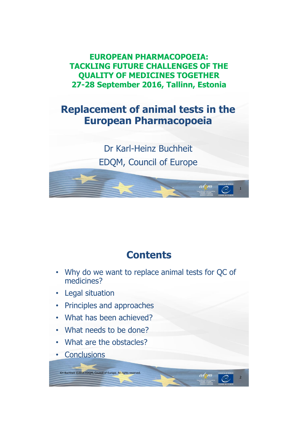**EUROPEAN PHARMACOPOEIA: TACKLING FUTURE CHALLENGES OF THE QUALITY OF MEDICINES TOGETHER 27-28 September 2016, Tallinn, Estonia**

### **Replacement of animal tests in the European Pharmacopoeia**

Dr Karl-Heinz Buchheit EDQM, Council of Europe

1

2

### **Contents**

- Why do we want to replace animal tests for QC of medicines?
- Legal situation
- Principles and approaches
- What has been achieved?
- What needs to be done?
- What are the obstacles?

KH Buchheit ©2016 EDQM, Council of Europe. All rights reserved.

**Conclusions**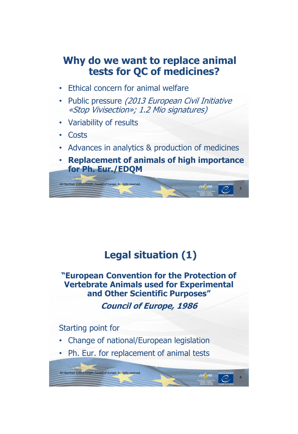### **Why do we want to replace animal tests for QC of medicines?**

- Ethical concern for animal welfare
- Public pressure (2013 European Civil Initiative «Stop Vivisection»; 1.2 Mio signatures)
- Variability of results
- Costs
- Advances in analytics & production of medicines
- **Replacement of animals of high importance for Ph. Eur./EDQM**



## **Legal situation (1)**

**"European Convention for the Protection of Vertebrate Animals used for Experimental and Other Scientific Purposes"**

**Council of Europe, 1986**

4

Starting point for

KH Buchheit ©2016 EDQM, Council of Europe. All rights reserved.

- Change of national/European legislation
- Ph. Eur. for replacement of animal tests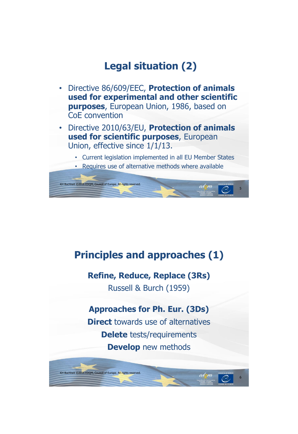## **Legal situation (2)**

- Directive 86/609/EEC, **Protection of animals used for experimental and other scientific purposes**, European Union, 1986, based on CoE convention
- Directive 2010/63/EU, **Protection of animals used for scientific purposes**, European Union, effective since 1/1/13.
	- Current legislation implemented in all EU Member States
	- Requires use of alternative methods where available



### **Principles and approaches (1)**

### **Refine, Reduce, Replace (3Rs)**

Russell & Burch (1959)

### **Approaches for Ph. Eur. (3Ds)**

**Direct** towards use of alternatives **Delete** tests/requirements **Develop** new methods

KH Buchheit ©2016 EDQM, Council of Europe. All rights reserved.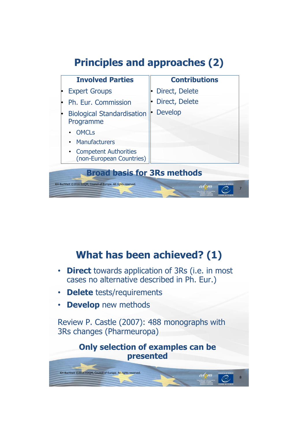## **Principles and approaches (2)**



### **What has been achieved? (1)**

- **Direct** towards application of 3Rs (i.e. in most cases no alternative described in Ph. Eur.)
- **Delete** tests/requirements
- **Develop** new methods

Review P. Castle (2007): 488 monographs with 3Rs changes (Pharmeuropa)

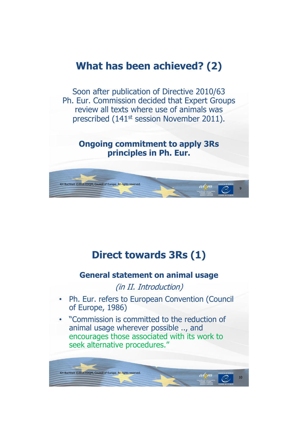### **What has been achieved? (2)**

Soon after publication of Directive 2010/63 Ph. Eur. Commission decided that Expert Groups review all texts where use of animals was prescribed (141st session November 2011).

**Ongoing commitment to apply 3Rs principles in Ph. Eur.**



### **Direct towards 3Rs (1)**

### **General statement on animal usage**

(in II. Introduction)

- Ph. Eur. refers to European Convention (Council of Europe, 1986)
- "Commission is committed to the reduction of animal usage wherever possible .., and encourages those associated with its work to seek alternative procedures."

KH Buchheit ©2016 EDQM, Council of Europe. All rights reserved.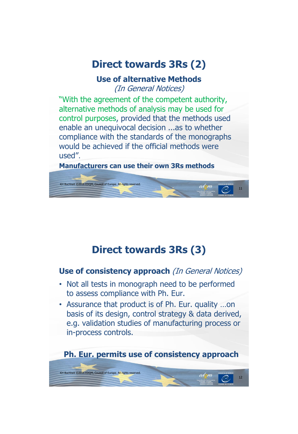## **Direct towards 3Rs (2)**

### **Use of alternative Methods**

(In General Notices)

"With the agreement of the competent authority, alternative methods of analysis may be used for control purposes, provided that the methods used enable an unequivocal decision ...as to whether compliance with the standards of the monographs would be achieved if the official methods were used".

**Manufacturers can use their own 3Rs methods**



## **Direct towards 3Rs (3)**

### **Use of consistency approach** (In General Notices)

- Not all tests in monograph need to be performed to assess compliance with Ph. Eur.
- Assurance that product is of Ph. Eur. quality …on basis of its design, control strategy & data derived, e.g. validation studies of manufacturing process or in-process controls.

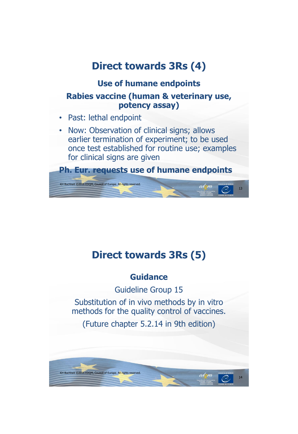## **Direct towards 3Rs (4)**

### **Use of humane endpoints**

### **Rabies vaccine (human & veterinary use, potency assay)**

- Past: lethal endpoint
- Now: Observation of clinical signs; allows earlier termination of experiment; to be used once test established for routine use; examples for clinical signs are given



## **Direct towards 3Rs (5)**

### **Guidance**

Guideline Group 15

Substitution of in vivo methods by in vitro methods for the quality control of vaccines.

(Future chapter 5.2.14 in 9th edition)

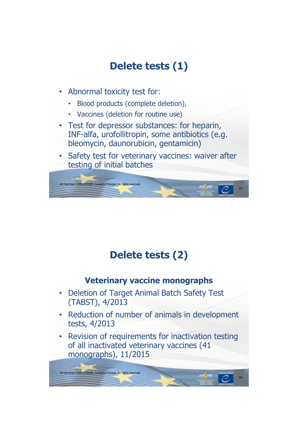## **Delete tests (1)**

- Abnormal toxicity test for:
	- Blood products (complete deletion),
	- Vaccines (deletion for routine use)
- Test for depressor substances: for heparin, INF-alfa, urofollitropin, some antibiotics (e.g. bleomycin, daunorubicin, gentamicin)
- Safety test for veterinary vaccines: waiver after testing of initial batches



## **Delete tests (2)**

### **Veterinary vaccine monographs**

- Deletion of Target Animal Batch Safety Test (TABST), 4/2013
- Reduction of number of animals in development tests, 4/2013
- Revision of requirements for inactivation testing of all inactivated veterinary vaccines (41 monographs), 11/2015

KH Buchheit ©2016 EDQM, Council of Europe. All rights reserved.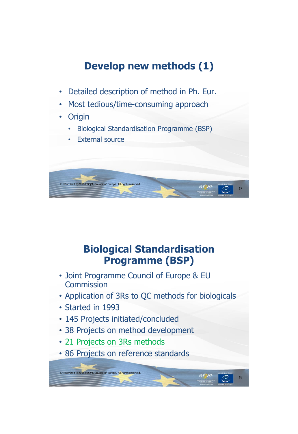## **Develop new methods (1)**

- Detailed description of method in Ph. Eur.
- Most tedious/time-consuming approach
- Origin
	- Biological Standardisation Programme (BSP)
	- **External source**



## **Biological Standardisation Programme (BSP)**

- Joint Programme Council of Europe & EU **Commission**
- Application of 3Rs to QC methods for biologicals

18

- Started in 1993
- 145 Projects initiated/concluded
- 38 Projects on method development
- 21 Projects on 3Rs methods

KH Buchheit ©2016 EDQM, Council of Europe. All rights reserved.

• 86 Projects on reference standards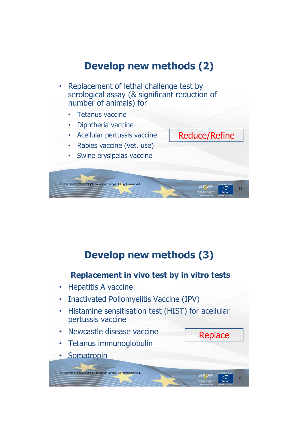## **Develop new methods (2)**

- Replacement of lethal challenge test by serological assay (& significant reduction of number of animals) for
	- Tetanus vaccine
	- Diphtheria vaccine
	- Acellular pertussis vaccine
	- Rabies vaccine (vet. use)
	- Swine erysipelas vaccine



Reduce/Refine

20

**Replace** 

## **Develop new methods (3)**

#### **Replacement in vivo test by in vitro tests**

- Hepatitis A vaccine
- Inactivated Poliomyelitis Vaccine (IPV)
- Histamine sensitisation test (HIST) for acellular pertussis vaccine
- Newcastle disease vaccine
- Tetanus immunoglobulin

KH Buchheit ©2016 EDQM, Council of Europe. All rights reserved.

• Somatropin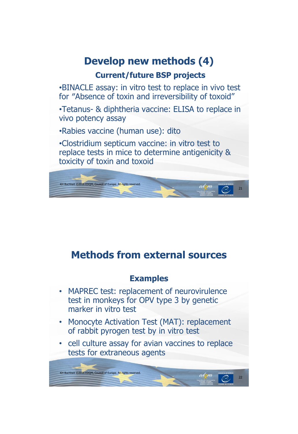# **Develop new methods (4)**

### **Current/future BSP projects**

•BINACLE assay: in vitro test to replace in vivo test for ″Absence of toxin and irreversibility of toxoid"

•Tetanus- & diphtheria vaccine: ELISA to replace in vivo potency assay

•Rabies vaccine (human use): dito

•Clostridium septicum vaccine: in vitro test to replace tests in mice to determine antigenicity & toxicity of toxin and toxoid



## **Methods from external sources**

### **Examples**

- MAPREC test: replacement of neurovirulence test in monkeys for OPV type 3 by genetic marker in vitro test
- Monocyte Activation Test (MAT): replacement of rabbit pyrogen test by in vitro test
- cell culture assay for avian vaccines to replace tests for extraneous agents

KH Buchheit ©2016 EDQM, Council of Europe. All rights reserved.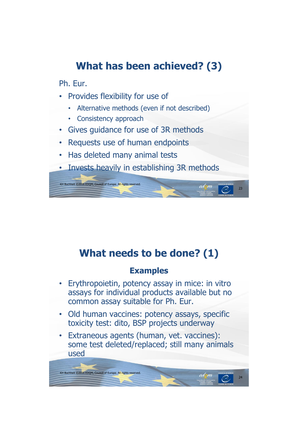## **What has been achieved? (3)**

Ph. Eur.

- Provides flexibility for use of
	- Alternative methods (even if not described)
	- Consistency approach
- Gives guidance for use of 3R methods
- Requests use of human endpoints
- Has deleted many animal tests
- Invests heavily in establishing 3R methods



## **What needs to be done? (1)**

### **Examples**

- Erythropoietin, potency assay in mice: in vitro assays for individual products available but no common assay suitable for Ph. Eur.
- Old human vaccines: potency assays, specific toxicity test: dito, BSP projects underway
- Extraneous agents (human, vet. vaccines): some test deleted/replaced; still many animals used

KH Buchheit ©2016 EDQM, Council of Europe. All rights reserved.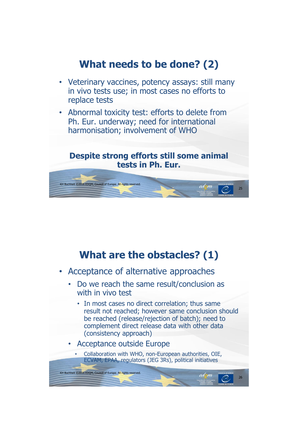## **What needs to be done? (2)**

- Veterinary vaccines, potency assays: still many in vivo tests use; in most cases no efforts to replace tests
- Abnormal toxicity test: efforts to delete from Ph. Eur. underway; need for international harmonisation; involvement of WHO

#### **Despite strong efforts still some animal tests in Ph. Eur.**



## **What are the obstacles? (1)**

- Acceptance of alternative approaches
	- Do we reach the same result/conclusion as with in vivo test
		- In most cases no direct correlation; thus same result not reached; however same conclusion should be reached (release/rejection of batch); need to complement direct release data with other data (consistency approach)

26

• Acceptance outside Europe

KH Buchheit ©2016 EDQM, Council of Europe. All rights reserved.

• Collaboration with WHO, non-European authorities, OIE, ECVAM, EPAA, regulators (JEG 3Rs), political initiatives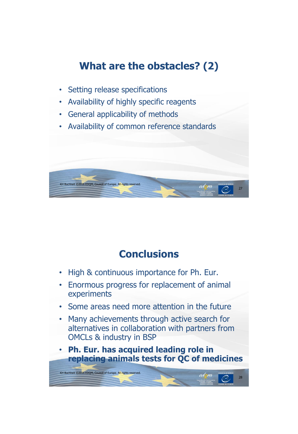## **What are the obstacles? (2)**

- Setting release specifications
- Availability of highly specific reagents
- General applicability of methods
- Availability of common reference standards



## **Conclusions**

- High & continuous importance for Ph. Eur.
- Enormous progress for replacement of animal experiments
- Some areas need more attention in the future
- Many achievements through active search for alternatives in collaboration with partners from OMCLs & industry in BSP

• **Ph. Eur. has acquired leading role in replacing animals tests for QC of medicines**

KH Buchheit ©2016 EDQM, Council of Europe. All rights reserved.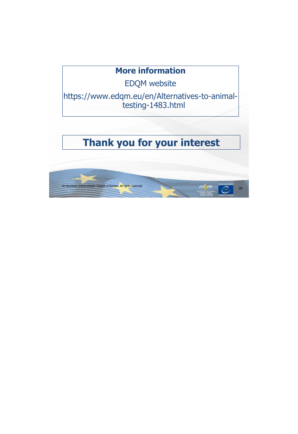### **More information**

EDQM website

https://www.edqm.eu/en/Alternatives-to-animaltesting-1483.html

## **Thank you for your interest**

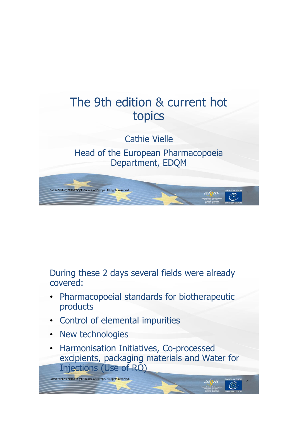

Head of the European Pharmacopoeia Department, EDQM



During these 2 days several fields were already covered:

- Pharmacopoeial standards for biotherapeutic products
- Control of elemental impurities
- New technologies
- Harmonisation Initiatives, Co-processed excipients, packaging materials and Water for Injections (Use of RO)

Cathie Vielle©2016 EDQM, Council of Europe. All rights reserved.<br>
2012 - 2012 - 2012 - 2012 - 2012 - 2012 - 2012 - 2012 - 2012 - 2012 - 2012 - 2012 - 2012 - 2012 - 2012 - 201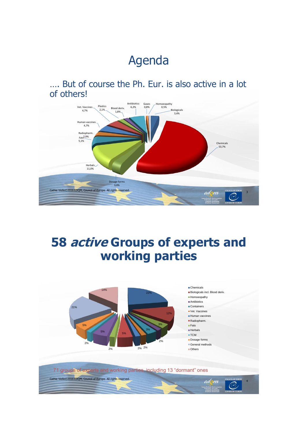# Agenda

…. But of course the Ph. Eur. is also active in a lot of others!



# **58 active Groups of experts and working parties**

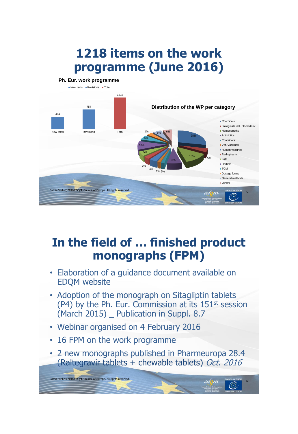# **1218 items on the work programme (June 2016)**



## **In the field of … finished product monographs (FPM)**

- Elaboration of a guidance document available on EDQM website
- Adoption of the monograph on Sitagliptin tablets (P4) by the Ph. Eur. Commission at its 151<sup>st</sup> session (March 2015) Publication in Suppl. 8.7
- Webinar organised on 4 February 2016
- 16 FPM on the work programme

Cathie Vielle©2016 EDQM, Council of Europe. All rights reserved

• 2 new monographs published in Pharmeuropa 28.4 (Raltegravir tablets + chewable tablets) Oct. 2016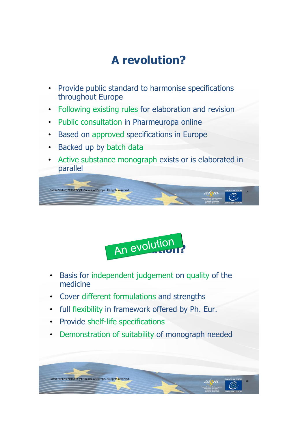# **A revolution?**

- Provide public standard to harmonise specifications throughout Europe
- Following existing rules for elaboration and revision
- Public consultation in Pharmeuropa online
- Based on approved specifications in Europe
- Backed up by batch data
- Active substance monograph exists or is elaborated in parallel





- Basis for independent judgement on quality of the medicine
- Cover different formulations and strengths
- full flexibility in framework offered by Ph. Eur.
- Provide shelf-life specifications
- Demonstration of suitability of monograph needed

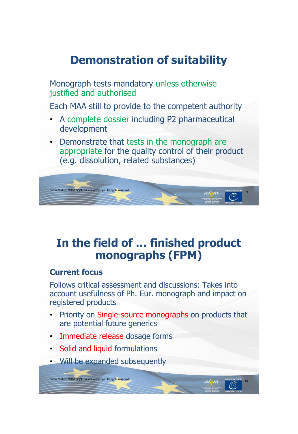## **Demonstration of suitability**

Monograph tests mandatory unless otherwise justified and authorised

Each MAA still to provide to the competent authority

- A complete dossier including P2 pharmaceutical development
- Demonstrate that tests in the monograph are appropriate for the quality control of their product (e.g. dissolution, related substances)



## **In the field of … finished product monographs (FPM)**

#### **Current focus**

Follows critical assessment and discussions: Takes into account usefulness of Ph. Eur. monograph and impact on registered products

- Priority on Single-source monographs on products that are potential future generics
- Immediate release dosage forms
- Solid and liquid formulations

Cathie Vielle©2016 EDQM, Council of Europe. All rights reserve

• Will be expanded subsequently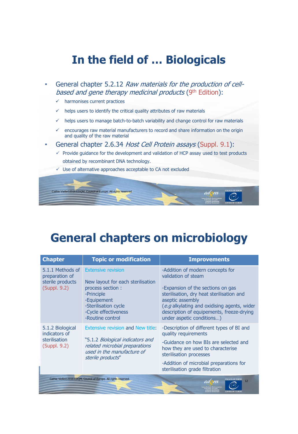## **In the field of … Biologicals**

- General chapter 5.2.12 Raw materials for the production of cellbased and gene therapy medicinal products (9th Edition):
	- $\checkmark$  harmonises current practices
	- helps users to identify the critical quality attributes of raw materials
	- $\checkmark$  helps users to manage batch-to-batch variability and change control for raw materials
	- $\checkmark$  encourages raw material manufacturers to record and share information on the origin and quality of the raw material
- General chapter 2.6.34 Host Cell Protein assays (Suppl. 9.1):
	- $\checkmark$  Provide guidance for the development and validation of HCP assay used to test products obtained by recombinant DNA technology.
	- $\checkmark$  Use of alternative approaches acceptable to CA not excluded



## **General chapters on microbiology**

| <b>Chapter</b>                                                         | <b>Topic or modification</b>                                                                                                                                                         | <b>Improvements</b>                                                                                                                                                                                                                                                                    |  |  |
|------------------------------------------------------------------------|--------------------------------------------------------------------------------------------------------------------------------------------------------------------------------------|----------------------------------------------------------------------------------------------------------------------------------------------------------------------------------------------------------------------------------------------------------------------------------------|--|--|
| 5.1.1 Methods of<br>preparation of<br>sterile products<br>(Suppl. 9.2) | <b>Extensive revision</b><br>New layout for each sterilisation<br>process section :<br>-Principle<br>-Equipement<br>-Sterilisation cycle<br>-Cycle effectiveness<br>-Routine control | -Addition of modern concepts for<br>validation of steam<br>-Expansion of the sections on gas<br>sterilisation, dry heat sterilisation and<br>aseptic assembly<br>(e.g alkylating and oxidising agents, wider<br>description of equipements, freeze-drying<br>under aspetic conditions) |  |  |
| 5.1.2 Biological<br>indicators of<br>sterilisation<br>(Suppl. 9.2)     | Extensive revision and New title:<br>"5.1.2 Biological indicators and<br>related microbial preparations<br>used in the manufacture of<br>sterile products"                           | -Description of different types of BI and<br>quality requirements<br>-Guidance on how BIs are selected and<br>how they are used to characterise<br>sterilisation processes<br>-Addition of microbial preparations for<br>sterilisation grade filtration                                |  |  |
|                                                                        | Cathie Vielle©2016 EDOM, Council of Europe. All rights reserved.                                                                                                                     | 12                                                                                                                                                                                                                                                                                     |  |  |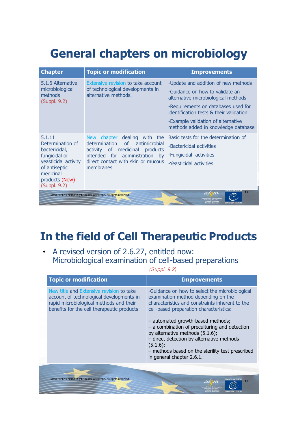# **General chapters on microbiology**

| <b>Chapter</b>                                                                       | <b>Topic or modification</b>                                                                   | <b>Improvements</b>                                                            |  |  |
|--------------------------------------------------------------------------------------|------------------------------------------------------------------------------------------------|--------------------------------------------------------------------------------|--|--|
| 5.1.6 Alternative                                                                    | Extensive revision to take account<br>of technological developments in<br>alternative methods. | -Update and addition of new methods                                            |  |  |
| microbiological<br>methods<br>(Suppl. 9.2)                                           |                                                                                                | -Guidance on how to validate an<br>alternative microbiological methods         |  |  |
|                                                                                      |                                                                                                | -Requirements on databases used for<br>identification tests & their validation |  |  |
|                                                                                      |                                                                                                | -Example validation of alternative<br>methods added in knowledge database      |  |  |
| 5.1.11                                                                               | dealing with the<br>chapter<br><b>New</b>                                                      | Basic tests for the determination of                                           |  |  |
| Determination of<br>bactericidal,                                                    | determination<br>of<br>antimicrobial<br>activity of medicinal products                         | -Bactericidal activities                                                       |  |  |
| fungicidal or                                                                        | intended for administration by<br>direct contact with skin or mucous<br>membranes              | -Fungicidal activities                                                         |  |  |
| yeasticidal activity<br>of antiseptic<br>medicinal<br>products (New)<br>(Suppl. 9.2) |                                                                                                | -Yeasticidal activities                                                        |  |  |
| 13<br>Cathie Vielle©2016 EDQM, Council of Europe. All rights reserved.               |                                                                                                |                                                                                |  |  |

## **In the field of Cell Therapeutic Products**

• A revised version of 2.6.27, entitled now: Microbiological examination of cell-based preparations

| (Suppl. 9.2) |  |  |
|--------------|--|--|
|              |  |  |

| <b>Topic or modification</b>                                                                                                                                                  | <b>Improvements</b>                                                                                                                                                                                                                                                  |
|-------------------------------------------------------------------------------------------------------------------------------------------------------------------------------|----------------------------------------------------------------------------------------------------------------------------------------------------------------------------------------------------------------------------------------------------------------------|
| New title and Extensive revision to take<br>account of technological developments in<br>rapid microbiological methods and their<br>benefits for the cell therapeutic products | -Guidance on how to select the microbiological<br>examination method depending on the<br>characteristics and constraints inherent to the<br>cell-based preparation characteristics:                                                                                  |
|                                                                                                                                                                               | - automated growth-based methods;<br>$-$ a combination of preculturing and detection<br>by alternative methods (5.1.6);<br>- direct detection by alternative methods<br>$(5.1.6)$ ;<br>- methods based on the sterility test prescribed<br>in general chapter 2.6.1. |
| Cathie Vielle©2016 EDOM, Council of Europe. All rights reserved.                                                                                                              | 14                                                                                                                                                                                                                                                                   |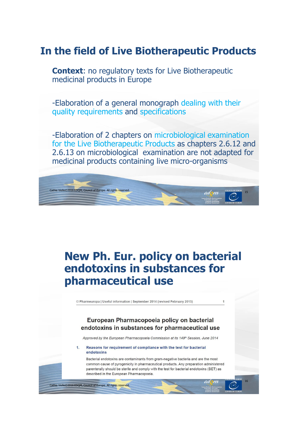### **In the field of Live Biotherapeutic Products**

**Context:** no regulatory texts for Live Biotherapeutic medicinal products in Europe

-Elaboration of a general monograph dealing with their quality requirements and specifications

-Elaboration of 2 chapters on microbiological examination for the Live Biotherapeutic Products as chapters 2.6.12 and 2.6.13 on microbiological examination are not adapted for medicinal products containing live micro-organisms



## **New Ph. Eur. policy on bacterial endotoxins in substances for pharmaceutical use**

© Pharmeuropa | Useful information | September 2014 (revised February 2015)

#### European Pharmacopoeia policy on bacterial endotoxins in substances for pharmaceutical use

Approved by the European Pharmacopoeia Commission at its 149<sup>th</sup> Session, June 2014

Reasons for requirement of compliance with the test for bacterial  $\overline{1}$ . endotoxins

Cathie Vielle©2016 EDQM, Council of Europe. All rights reserved.

Bacterial endotoxins are contaminants from gram-negative bacteria and are the most common cause of pyrogenicity in pharmaceutical products. Any preparation administered parenterally should be sterile and comply with the test for bacterial endotoxins (BET) as described in the European Pharmacopoeia.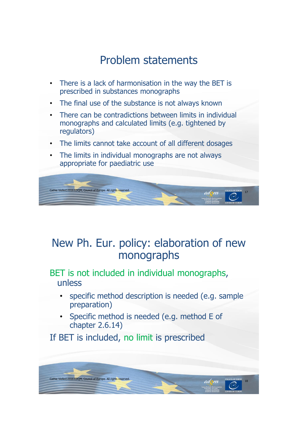## Problem statements

- There is a lack of harmonisation in the way the BET is prescribed in substances monographs
- The final use of the substance is not always known
- There can be contradictions between limits in individual monographs and calculated limits (e.g. tightened by regulators)
- The limits cannot take account of all different dosages
- The limits in individual monographs are not always appropriate for paediatric use



## New Ph. Eur. policy: elaboration of new monographs

BET is not included in individual monographs, unless

- specific method description is needed (e.g. sample preparation)
- Specific method is needed (e.g. method E of chapter 2.6.14)

If BET is included, no limit is prescribed

Cathie Vielle©2016 EDQM, Council of Europe. All rights rese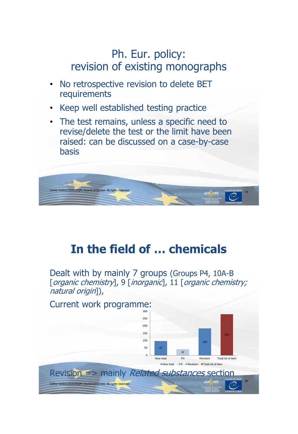## Ph. Eur. policy: revision of existing monographs

- No retrospective revision to delete BET requirements
- Keep well established testing practice
- The test remains, unless a specific need to revise/delete the test or the limit have been raised: can be discussed on a case-by-case basis



# **In the field of … chemicals**

Dealt with by mainly 7 groups (Groups P4, 10A-B [organic chemistry], 9 [inorganic], 11 [organic chemistry; natural origin]),

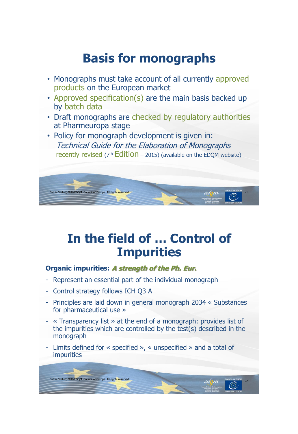# **Basis for monographs**

- Monographs must take account of all currently approved products on the European market
- Approved specification(s) are the main basis backed up by batch data
- Draft monographs are checked by regulatory authorities at Pharmeuropa stage
- Policy for monograph development is given in: Technical Guide for the Elaboration of Monographs recently revised ( $7<sup>th</sup>$  Edition – 2015) (available on the EDOM website)



# **In the field of … Control of Impurities**

#### **Organic impurities: A strength of the Ph. Eur.**

- Represent an essential part of the individual monograph
- Control strategy follows ICH Q3 A
- Principles are laid down in general monograph 2034 « Substances for pharmaceutical use »
- « Transparency list » at the end of a monograph: provides list of the impurities which are controlled by the test(s) described in the monograph
- Limits defined for « specified », « unspecified » and a total of impurities

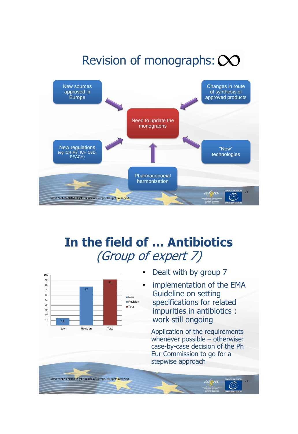# Revision of monographs: CO



## **In the field of … Antibiotics**  (Group of expert 7)

Cathie Vielle©2016 EDQM, Council of Europe. All rights reserved.<br>
24 CMM



- Dealt with by group 7
- implementation of the EMA Guideline on setting specifications for related impurities in antibiotics : work still ongoing

Application of the requirements whenever possible – otherwise: case-by-case decision of the Ph Eur Commission to go for a stepwise approach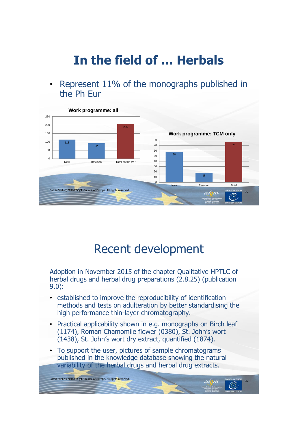# **In the field of … Herbals**

• Represent 11% of the monographs published in the Ph Eur



## Recent development

Adoption in November 2015 of the chapter Qualitative HPTLC of herbal drugs and herbal drug preparations (2.8.25) (publication 9.0):

- established to improve the reproducibility of identification methods and tests on adulteration by better standardising the high performance thin-layer chromatography.
- Practical applicability shown in e.g. monographs on Birch leaf (1174), Roman Chamomile flower (0380), St. John's wort (1438), St. John's wort dry extract, quantified (1874).
- To support the user, pictures of sample chromatograms published in the knowledge database showing the natural variability of the herbal drugs and herbal drug extracts.

Cathie Vielle©2016 EDQM, Council of Europe. All rights reserved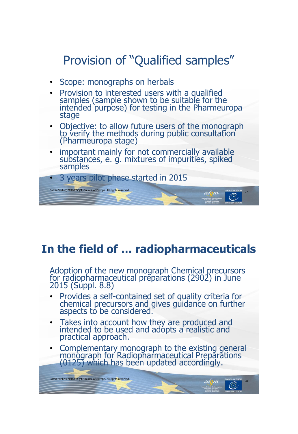# Provision of "Qualified samples"

- Scope: monographs on herbals
- Provision to interested users with a qualified samples (sample shown to be suitable for the intended purpose) for testing in the Pharmeuropa stage
- Objective: to allow future users of the monograph to verify the methods during public consultation (Pharmeuropa stage)
- important mainly for not commercially available substances, e. g. mixtures of impurities, spiked samples



## **In the field of … radiopharmaceuticals**

Adoption of the new monograph Chemical precursors for radiopharmaceutical preparations (2902) in June 2015 (Suppl. 8.8)

- Provides a self-contained set of quality criteria for chemical precursors and gives guidance on further aspects to be considered.
- Takes into account how they are produced and intended to be used and adopts a realistic and practical approach.

Cathie Vielle©2016 EDQM, Council of Europe. All rights reserved. <sup>28</sup>

• Complementary monograph to the existing general monograph for Radiopharmaceutical Preparations (0125) which has been updated accordingly.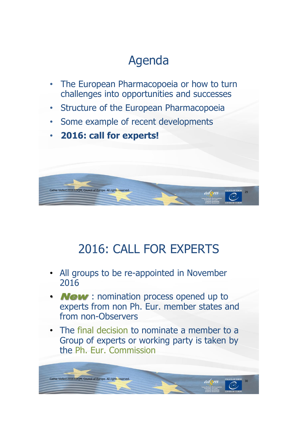# Agenda

- The European Pharmacopoeia or how to turn challenges into opportunities and successes
- Structure of the European Pharmacopoeia
- Some example of recent developments
- **2016: call for experts!**



# 2016: CALL FOR EXPERTS

- All groups to be re-appointed in November 2016
- **New**: nomination process opened up to experts from non Ph. Eur. member states and from non-Observers
- The final decision to nominate a member to a Group of experts or working party is taken by the Ph. Eur. Commission

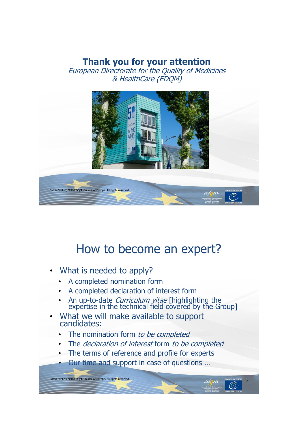### **Thank you for your attention**

European Directorate for the Quality of Medicines & HealthCare (EDQM)



## How to become an expert?

• What is needed to apply?

Cathie Vielle©2016 EDQM, Council of Europe. All rights reserve

- A completed nomination form
- A completed declaration of interest form
- An up-to-date *Curriculum vitae* [highlighting the expertise in the technical field covered by the Group]
- What we will make available to support candidates:
	- The nomination form to be completed
	- The *declaration of interest* form to be completed
	- The terms of reference and profile for experts
	- Our time and support in case of questions …